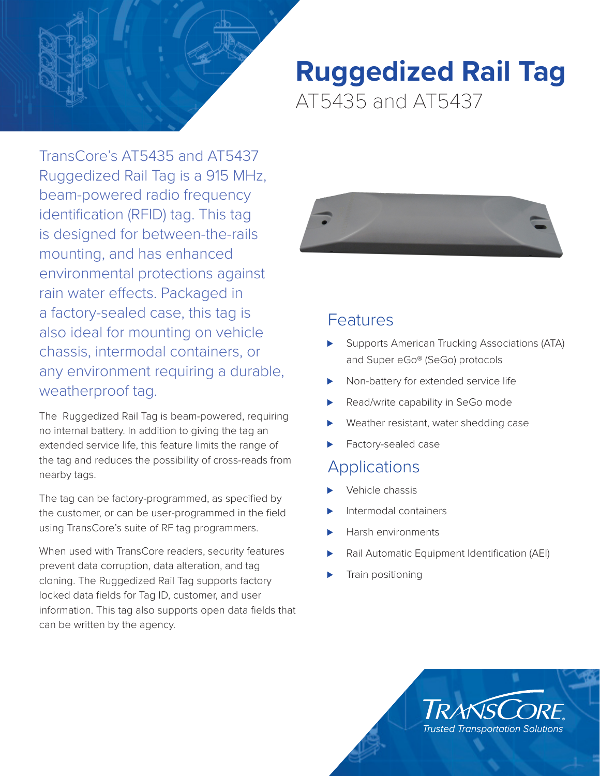

TransCore's AT5435 and AT5437 Ruggedized Rail Tag is a 915 MHz, beam-powered radio frequency identification (RFID) tag. This tag is designed for between-the-rails mounting, and has enhanced environmental protections against rain water effects. Packaged in a factory-sealed case, this tag is also ideal for mounting on vehicle chassis, intermodal containers, or any environment requiring a durable, weatherproof tag.

The Ruggedized Rail Tag is beam-powered, requiring no internal battery. In addition to giving the tag an extended service life, this feature limits the range of the tag and reduces the possibility of cross-reads from nearby tags.

The tag can be factory-programmed, as specified by the customer, or can be user-programmed in the field using TransCore's suite of RF tag programmers.

When used with TransCore readers, security features prevent data corruption, data alteration, and tag cloning. The Ruggedized Rail Tag supports factory locked data fields for Tag ID, customer, and user information. This tag also supports open data fields that can be written by the agency.

# **Ruggedized Rail Tag** AT5435 and AT5437



## Features

- Supports American Trucking Associations (ATA) and Super eGo® (SeGo) protocols
- Non-battery for extended service life
- Read/write capability in SeGo mode
- Weather resistant, water shedding case
- Factory-sealed case

### **Applications**

- ⊲ Vehicle chassis
- ⊲ Intermodal containers
- ⊲ Harsh environments
- Rail Automatic Equipment Identification (AEI)
- Train positioning